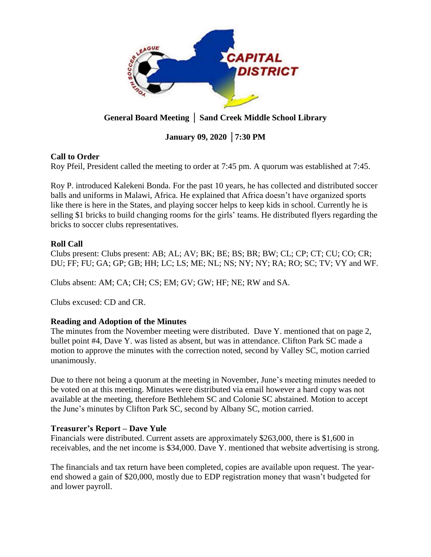

# **General Board Meeting** │ **Sand Creek Middle School Library**

# **January 09, 2020** │**7:30 PM**

## **Call to Order**

Roy Pfeil, President called the meeting to order at 7:45 pm. A quorum was established at 7:45.

Roy P. introduced Kalekeni Bonda. For the past 10 years, he has collected and distributed soccer balls and uniforms in Malawi, Africa. He explained that Africa doesn't have organized sports like there is here in the States, and playing soccer helps to keep kids in school. Currently he is selling \$1 bricks to build changing rooms for the girls' teams. He distributed flyers regarding the bricks to soccer clubs representatives.

## **Roll Call**

Clubs present: Clubs present: AB; AL; AV; BK; BE; BS; BR; BW; CL; CP; CT; CU; CO; CR; DU; FF; FU; GA; GP; GB; HH; LC; LS; ME; NL; NS; NY; NY; RA; RO; SC; TV; VY and WF.

Clubs absent: AM; CA; CH; CS; EM; GV; GW; HF; NE; RW and SA.

Clubs excused: CD and CR.

## **Reading and Adoption of the Minutes**

The minutes from the November meeting were distributed. Dave Y. mentioned that on page 2, bullet point #4, Dave Y. was listed as absent, but was in attendance. Clifton Park SC made a motion to approve the minutes with the correction noted, second by Valley SC, motion carried unanimously.

Due to there not being a quorum at the meeting in November, June's meeting minutes needed to be voted on at this meeting. Minutes were distributed via email however a hard copy was not available at the meeting, therefore Bethlehem SC and Colonie SC abstained. Motion to accept the June's minutes by Clifton Park SC, second by Albany SC, motion carried.

### **Treasurer's Report – Dave Yule**

Financials were distributed. Current assets are approximately \$263,000, there is \$1,600 in receivables, and the net income is \$34,000. Dave Y. mentioned that website advertising is strong.

The financials and tax return have been completed, copies are available upon request. The yearend showed a gain of \$20,000, mostly due to EDP registration money that wasn't budgeted for and lower payroll.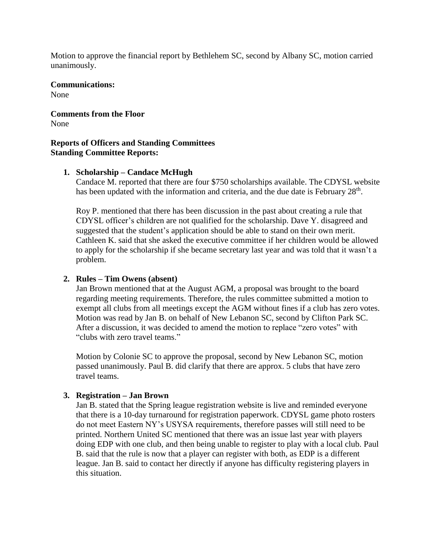Motion to approve the financial report by Bethlehem SC, second by Albany SC, motion carried unanimously.

## **Communications:**

None

#### **Comments from the Floor** None

## **Reports of Officers and Standing Committees Standing Committee Reports:**

## **1. Scholarship – Candace McHugh**

Candace M. reported that there are four \$750 scholarships available. The CDYSL website has been updated with the information and criteria, and the due date is February 28<sup>th</sup>.

Roy P. mentioned that there has been discussion in the past about creating a rule that CDYSL officer's children are not qualified for the scholarship. Dave Y. disagreed and suggested that the student's application should be able to stand on their own merit. Cathleen K. said that she asked the executive committee if her children would be allowed to apply for the scholarship if she became secretary last year and was told that it wasn't a problem.

## **2. Rules – Tim Owens (absent)**

Jan Brown mentioned that at the August AGM, a proposal was brought to the board regarding meeting requirements. Therefore, the rules committee submitted a motion to exempt all clubs from all meetings except the AGM without fines if a club has zero votes. Motion was read by Jan B. on behalf of New Lebanon SC, second by Clifton Park SC. After a discussion, it was decided to amend the motion to replace "zero votes" with "clubs with zero travel teams."

Motion by Colonie SC to approve the proposal, second by New Lebanon SC, motion passed unanimously. Paul B. did clarify that there are approx. 5 clubs that have zero travel teams.

### **3. Registration – Jan Brown**

Jan B. stated that the Spring league registration website is live and reminded everyone that there is a 10-day turnaround for registration paperwork. CDYSL game photo rosters do not meet Eastern NY's USYSA requirements, therefore passes will still need to be printed. Northern United SC mentioned that there was an issue last year with players doing EDP with one club, and then being unable to register to play with a local club. Paul B. said that the rule is now that a player can register with both, as EDP is a different league. Jan B. said to contact her directly if anyone has difficulty registering players in this situation.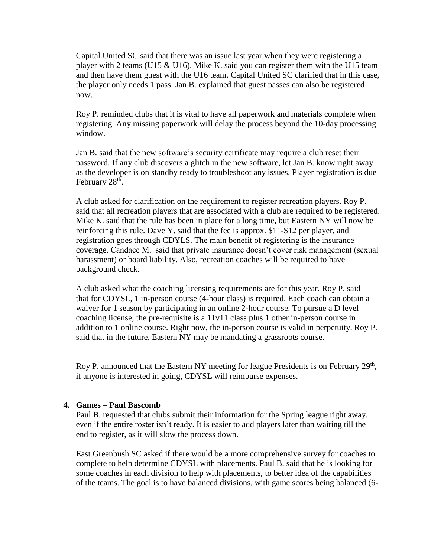Capital United SC said that there was an issue last year when they were registering a player with 2 teams (U15 & U16). Mike K. said you can register them with the U15 team and then have them guest with the U16 team. Capital United SC clarified that in this case, the player only needs 1 pass. Jan B. explained that guest passes can also be registered now.

Roy P. reminded clubs that it is vital to have all paperwork and materials complete when registering. Any missing paperwork will delay the process beyond the 10-day processing window.

Jan B. said that the new software's security certificate may require a club reset their password. If any club discovers a glitch in the new software, let Jan B. know right away as the developer is on standby ready to troubleshoot any issues. Player registration is due February 28<sup>th</sup>.

A club asked for clarification on the requirement to register recreation players. Roy P. said that all recreation players that are associated with a club are required to be registered. Mike K. said that the rule has been in place for a long time, but Eastern NY will now be reinforcing this rule. Dave Y. said that the fee is approx. \$11-\$12 per player, and registration goes through CDYLS. The main benefit of registering is the insurance coverage. Candace M. said that private insurance doesn't cover risk management (sexual harassment) or board liability. Also, recreation coaches will be required to have background check.

A club asked what the coaching licensing requirements are for this year. Roy P. said that for CDYSL, 1 in-person course (4-hour class) is required. Each coach can obtain a waiver for 1 season by participating in an online 2-hour course. To pursue a D level coaching license, the pre-requisite is a 11v11 class plus 1 other in-person course in addition to 1 online course. Right now, the in-person course is valid in perpetuity. Roy P. said that in the future, Eastern NY may be mandating a grassroots course.

Roy P. announced that the Eastern NY meeting for league Presidents is on February  $29<sup>th</sup>$ , if anyone is interested in going, CDYSL will reimburse expenses.

### **4. Games – Paul Bascomb**

Paul B. requested that clubs submit their information for the Spring league right away, even if the entire roster isn't ready. It is easier to add players later than waiting till the end to register, as it will slow the process down.

East Greenbush SC asked if there would be a more comprehensive survey for coaches to complete to help determine CDYSL with placements. Paul B. said that he is looking for some coaches in each division to help with placements, to better idea of the capabilities of the teams. The goal is to have balanced divisions, with game scores being balanced (6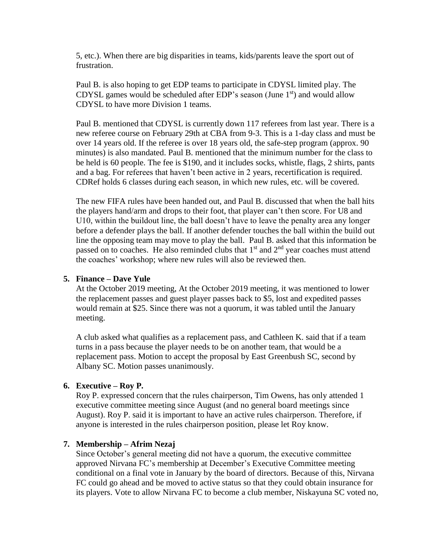5, etc.). When there are big disparities in teams, kids/parents leave the sport out of frustration.

Paul B. is also hoping to get EDP teams to participate in CDYSL limited play. The CDYSL games would be scheduled after EDP's season (June  $1<sup>st</sup>$ ) and would allow CDYSL to have more Division 1 teams.

Paul B. mentioned that CDYSL is currently down 117 referees from last year. There is a new referee course on February 29th at CBA from 9-3. This is a 1-day class and must be over 14 years old. If the referee is over 18 years old, the safe-step program (approx. 90 minutes) is also mandated. Paul B. mentioned that the minimum number for the class to be held is 60 people. The fee is \$190, and it includes socks, whistle, flags, 2 shirts, pants and a bag. For referees that haven't been active in 2 years, recertification is required. CDRef holds 6 classes during each season, in which new rules, etc. will be covered.

The new FIFA rules have been handed out, and Paul B. discussed that when the ball hits the players hand/arm and drops to their foot, that player can't then score. For U8 and U10, within the buildout line, the ball doesn't have to leave the penalty area any longer before a defender plays the ball. If another defender touches the ball within the build out line the opposing team may move to play the ball. Paul B. asked that this information be passed on to coaches. He also reminded clubs that  $1<sup>st</sup>$  and  $2<sup>nd</sup>$  year coaches must attend the coaches' workshop; where new rules will also be reviewed then.

#### **5. Finance – Dave Yule**

At the October 2019 meeting, At the October 2019 meeting, it was mentioned to lower the replacement passes and guest player passes back to \$5, lost and expedited passes would remain at \$25. Since there was not a quorum, it was tabled until the January meeting.

A club asked what qualifies as a replacement pass, and Cathleen K. said that if a team turns in a pass because the player needs to be on another team, that would be a replacement pass. Motion to accept the proposal by East Greenbush SC, second by Albany SC. Motion passes unanimously.

#### **6. Executive – Roy P.**

Roy P. expressed concern that the rules chairperson, Tim Owens, has only attended 1 executive committee meeting since August (and no general board meetings since August). Roy P. said it is important to have an active rules chairperson. Therefore, if anyone is interested in the rules chairperson position, please let Roy know.

#### **7. Membership – Afrim Nezaj**

Since October's general meeting did not have a quorum, the executive committee approved Nirvana FC's membership at December's Executive Committee meeting conditional on a final vote in January by the board of directors. Because of this, Nirvana FC could go ahead and be moved to active status so that they could obtain insurance for its players. Vote to allow Nirvana FC to become a club member, Niskayuna SC voted no,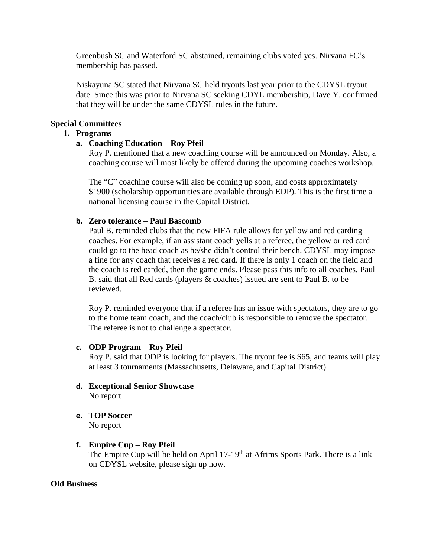Greenbush SC and Waterford SC abstained, remaining clubs voted yes. Nirvana FC's membership has passed.

Niskayuna SC stated that Nirvana SC held tryouts last year prior to the CDYSL tryout date. Since this was prior to Nirvana SC seeking CDYL membership, Dave Y. confirmed that they will be under the same CDYSL rules in the future.

## **Special Committees**

### **1. Programs**

#### **a. Coaching Education – Roy Pfeil**

Roy P. mentioned that a new coaching course will be announced on Monday. Also, a coaching course will most likely be offered during the upcoming coaches workshop.

The "C" coaching course will also be coming up soon, and costs approximately \$1900 (scholarship opportunities are available through EDP). This is the first time a national licensing course in the Capital District.

### **b. Zero tolerance – Paul Bascomb**

Paul B. reminded clubs that the new FIFA rule allows for yellow and red carding coaches. For example, if an assistant coach yells at a referee, the yellow or red card could go to the head coach as he/she didn't control their bench. CDYSL may impose a fine for any coach that receives a red card. If there is only 1 coach on the field and the coach is red carded, then the game ends. Please pass this info to all coaches. Paul B. said that all Red cards (players & coaches) issued are sent to Paul B. to be reviewed.

Roy P. reminded everyone that if a referee has an issue with spectators, they are to go to the home team coach, and the coach/club is responsible to remove the spectator. The referee is not to challenge a spectator.

#### **c. ODP Program – Roy Pfeil**

Roy P. said that ODP is looking for players. The tryout fee is \$65, and teams will play at least 3 tournaments (Massachusetts, Delaware, and Capital District).

- **d. Exceptional Senior Showcase** No report
- **e. TOP Soccer**  No report

#### **f. Empire Cup – Roy Pfeil**

The Empire Cup will be held on April 17-19<sup>th</sup> at Afrims Sports Park. There is a link on CDYSL website, please sign up now.

#### **Old Business**